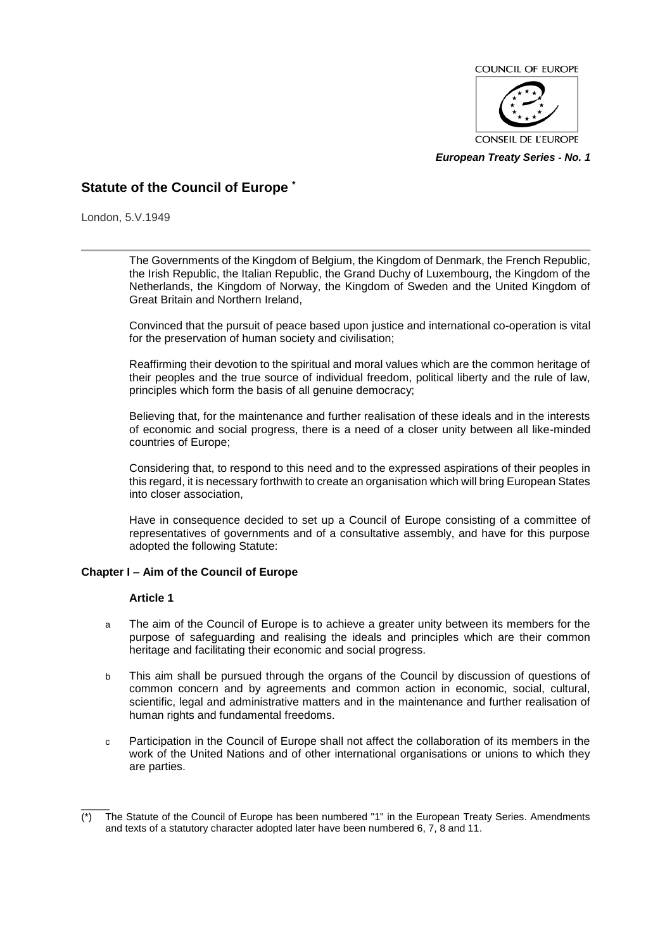

*European Treaty Series* **-** *No. 1*

# **Statute of the Council of Europe \***

London, 5.V.1949

The Governments of the Kingdom of Belgium, the Kingdom of Denmark, the French Republic, the Irish Republic, the Italian Republic, the Grand Duchy of Luxembourg, the Kingdom of the Netherlands, the Kingdom of Norway, the Kingdom of Sweden and the United Kingdom of Great Britain and Northern Ireland,

Convinced that the pursuit of peace based upon justice and international co-operation is vital for the preservation of human society and civilisation;

Reaffirming their devotion to the spiritual and moral values which are the common heritage of their peoples and the true source of individual freedom, political liberty and the rule of law, principles which form the basis of all genuine democracy;

Believing that, for the maintenance and further realisation of these ideals and in the interests of economic and social progress, there is a need of a closer unity between all like-minded countries of Europe;

Considering that, to respond to this need and to the expressed aspirations of their peoples in this regard, it is necessary forthwith to create an organisation which will bring European States into closer association,

Have in consequence decided to set up a Council of Europe consisting of a committee of representatives of governments and of a consultative assembly, and have for this purpose adopted the following Statute:

# **Chapter I – Aim of the Council of Europe**

### **Article 1**

- a The aim of the Council of Europe is to achieve a greater unity between its members for the purpose of safeguarding and realising the ideals and principles which are their common heritage and facilitating their economic and social progress.
- b This aim shall be pursued through the organs of the Council by discussion of questions of common concern and by agreements and common action in economic, social, cultural, scientific, legal and administrative matters and in the maintenance and further realisation of human rights and fundamental freedoms.
- c Participation in the Council of Europe shall not affect the collaboration of its members in the work of the United Nations and of other international organisations or unions to which they are parties.

 $\overline{\phantom{a}}$ (\*) The Statute of the Council of Europe has been numbered "1" in the European Treaty Series. Amendments and texts of a statutory character adopted later have been numbered 6, 7, 8 and 11.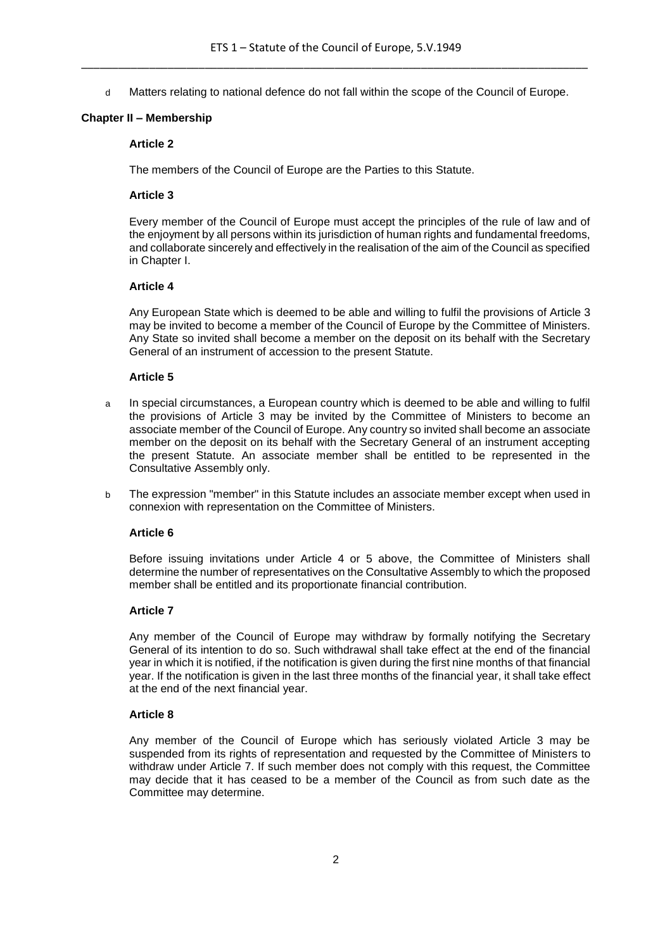d Matters relating to national defence do not fall within the scope of the Council of Europe.

#### **Chapter II – Membership**

# **Article 2**

The members of the Council of Europe are the Parties to this Statute.

#### **Article 3**

Every member of the Council of Europe must accept the principles of the rule of law and of the enjoyment by all persons within its jurisdiction of human rights and fundamental freedoms, and collaborate sincerely and effectively in the realisation of the aim of the Council as specified in Chapter I.

#### **Article 4**

Any European State which is deemed to be able and willing to fulfil the provisions of Article 3 may be invited to become a member of the Council of Europe by the Committee of Ministers. Any State so invited shall become a member on the deposit on its behalf with the Secretary General of an instrument of accession to the present Statute.

#### **Article 5**

- a In special circumstances, a European country which is deemed to be able and willing to fulfil the provisions of Article 3 may be invited by the Committee of Ministers to become an associate member of the Council of Europe. Any country so invited shall become an associate member on the deposit on its behalf with the Secretary General of an instrument accepting the present Statute. An associate member shall be entitled to be represented in the Consultative Assembly only.
- b The expression "member" in this Statute includes an associate member except when used in connexion with representation on the Committee of Ministers.

#### **Article 6**

Before issuing invitations under Article 4 or 5 above, the Committee of Ministers shall determine the number of representatives on the Consultative Assembly to which the proposed member shall be entitled and its proportionate financial contribution.

#### **Article 7**

Any member of the Council of Europe may withdraw by formally notifying the Secretary General of its intention to do so. Such withdrawal shall take effect at the end of the financial year in which it is notified, if the notification is given during the first nine months of that financial year. If the notification is given in the last three months of the financial year, it shall take effect at the end of the next financial year.

#### **Article 8**

Any member of the Council of Europe which has seriously violated Article 3 may be suspended from its rights of representation and requested by the Committee of Ministers to withdraw under Article 7. If such member does not comply with this request, the Committee may decide that it has ceased to be a member of the Council as from such date as the Committee may determine.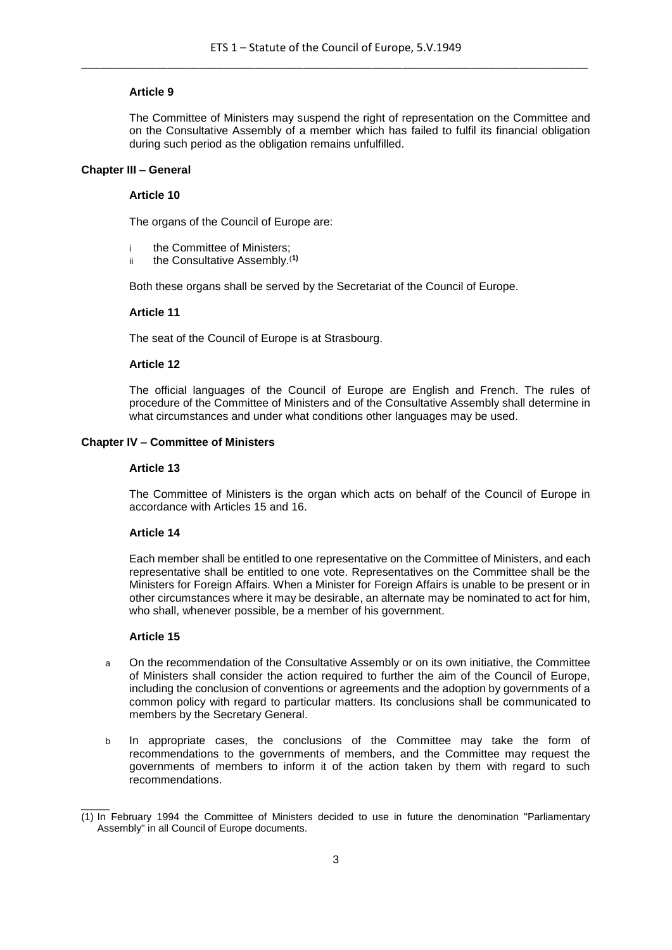The Committee of Ministers may suspend the right of representation on the Committee and on the Consultative Assembly of a member which has failed to fulfil its financial obligation during such period as the obligation remains unfulfilled.

#### **Chapter III – General**

#### **Article 10**

The organs of the Council of Europe are:

- the Committee of Ministers:
- ii the Consultative Assembly.(**1)**

Both these organs shall be served by the Secretariat of the Council of Europe.

#### **Article 11**

The seat of the Council of Europe is at Strasbourg.

#### **Article 12**

The official languages of the Council of Europe are English and French. The rules of procedure of the Committee of Ministers and of the Consultative Assembly shall determine in what circumstances and under what conditions other languages may be used.

# **Chapter IV – Committee of Ministers**

#### **Article 13**

The Committee of Ministers is the organ which acts on behalf of the Council of Europe in accordance with Articles 15 and 16.

#### **Article 14**

Each member shall be entitled to one representative on the Committee of Ministers, and each representative shall be entitled to one vote. Representatives on the Committee shall be the Ministers for Foreign Affairs. When a Minister for Foreign Affairs is unable to be present or in other circumstances where it may be desirable, an alternate may be nominated to act for him, who shall, whenever possible, be a member of his government.

#### **Article 15**

 $\overline{\phantom{a}}$ 

- a On the recommendation of the Consultative Assembly or on its own initiative, the Committee of Ministers shall consider the action required to further the aim of the Council of Europe, including the conclusion of conventions or agreements and the adoption by governments of a common policy with regard to particular matters. Its conclusions shall be communicated to members by the Secretary General.
- b In appropriate cases, the conclusions of the Committee may take the form of recommendations to the governments of members, and the Committee may request the governments of members to inform it of the action taken by them with regard to such recommendations.

<sup>(1)</sup> In February 1994 the Committee of Ministers decided to use in future the denomination "Parliamentary Assembly" in all Council of Europe documents.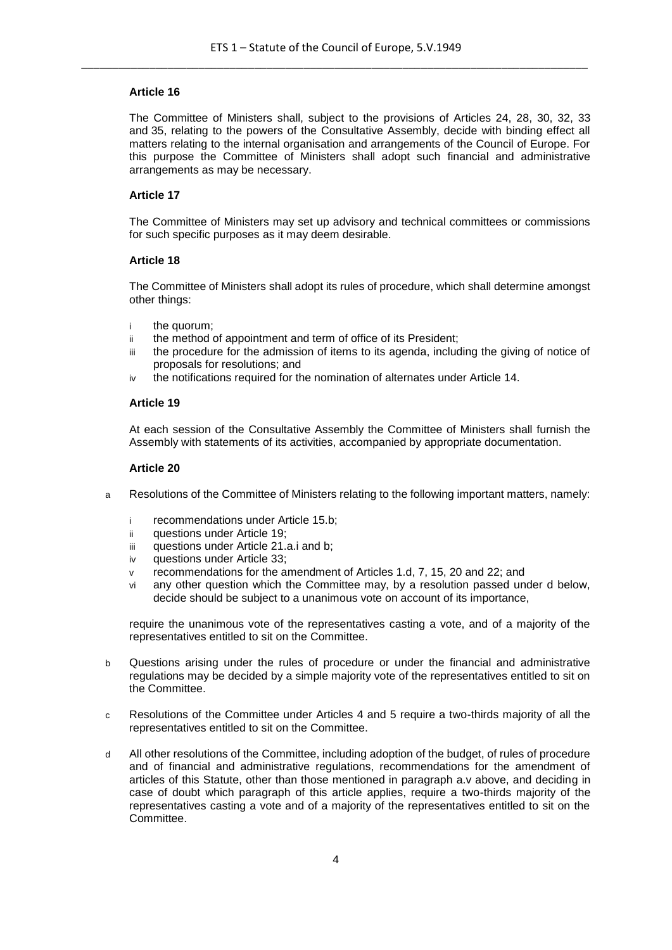The Committee of Ministers shall, subject to the provisions of Articles 24, 28, 30, 32, 33 and 35, relating to the powers of the Consultative Assembly, decide with binding effect all matters relating to the internal organisation and arrangements of the Council of Europe. For this purpose the Committee of Ministers shall adopt such financial and administrative arrangements as may be necessary.

### **Article 17**

The Committee of Ministers may set up advisory and technical committees or commissions for such specific purposes as it may deem desirable.

# **Article 18**

The Committee of Ministers shall adopt its rules of procedure, which shall determine amongst other things:

- i the quorum;
- ii the method of appointment and term of office of its President;
- iii the procedure for the admission of items to its agenda, including the giving of notice of proposals for resolutions; and
- iv the notifications required for the nomination of alternates under Article 14.

# **Article 19**

At each session of the Consultative Assembly the Committee of Ministers shall furnish the Assembly with statements of its activities, accompanied by appropriate documentation.

# **Article 20**

- a Resolutions of the Committee of Ministers relating to the following important matters, namely:
	- i recommendations under Article 15.b;
	- ii questions under Article 19;
	- iii questions under Article 21.a.i and b;
	- iv questions under Article 33:
	- v recommendations for the amendment of Articles 1.d, 7, 15, 20 and 22; and
	- vi any other question which the Committee may, by a resolution passed under d below, decide should be subject to a unanimous vote on account of its importance,

require the unanimous vote of the representatives casting a vote, and of a majority of the representatives entitled to sit on the Committee.

- b Questions arising under the rules of procedure or under the financial and administrative regulations may be decided by a simple majority vote of the representatives entitled to sit on the Committee.
- c Resolutions of the Committee under Articles 4 and 5 require a two-thirds majority of all the representatives entitled to sit on the Committee.
- d All other resolutions of the Committee, including adoption of the budget, of rules of procedure and of financial and administrative regulations, recommendations for the amendment of articles of this Statute, other than those mentioned in paragraph a.v above, and deciding in case of doubt which paragraph of this article applies, require a two-thirds majority of the representatives casting a vote and of a majority of the representatives entitled to sit on the Committee.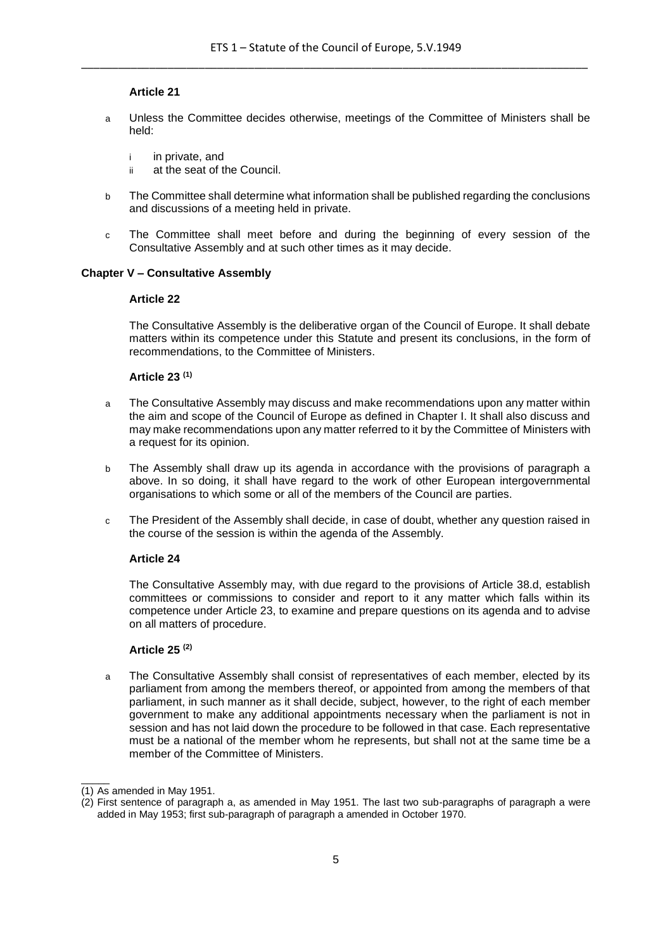- a Unless the Committee decides otherwise, meetings of the Committee of Ministers shall be held:
	- i in private, and
	- ii at the seat of the Council.
- b The Committee shall determine what information shall be published regarding the conclusions and discussions of a meeting held in private.
- c The Committee shall meet before and during the beginning of every session of the Consultative Assembly and at such other times as it may decide.

# **Chapter V – Consultative Assembly**

### **Article 22**

The Consultative Assembly is the deliberative organ of the Council of Europe. It shall debate matters within its competence under this Statute and present its conclusions, in the form of recommendations, to the Committee of Ministers.

### **Article 23 (1)**

- a The Consultative Assembly may discuss and make recommendations upon any matter within the aim and scope of the Council of Europe as defined in Chapter I. It shall also discuss and may make recommendations upon any matter referred to it by the Committee of Ministers with a request for its opinion.
- b The Assembly shall draw up its agenda in accordance with the provisions of paragraph a above. In so doing, it shall have regard to the work of other European intergovernmental organisations to which some or all of the members of the Council are parties.
- c The President of the Assembly shall decide, in case of doubt, whether any question raised in the course of the session is within the agenda of the Assembly.

### **Article 24**

The Consultative Assembly may, with due regard to the provisions of Article 38.d, establish committees or commissions to consider and report to it any matter which falls within its competence under Article 23, to examine and prepare questions on its agenda and to advise on all matters of procedure.

### **Article 25 (2)**

a The Consultative Assembly shall consist of representatives of each member, elected by its parliament from among the members thereof, or appointed from among the members of that parliament, in such manner as it shall decide, subject, however, to the right of each member government to make any additional appointments necessary when the parliament is not in session and has not laid down the procedure to be followed in that case. Each representative must be a national of the member whom he represents, but shall not at the same time be a member of the Committee of Ministers.

 $\overline{\phantom{a}}$ 

<sup>(1)</sup> As amended in May 1951.

<sup>(2)</sup> First sentence of paragraph a, as amended in May 1951. The last two sub-paragraphs of paragraph a were added in May 1953; first sub-paragraph of paragraph a amended in October 1970.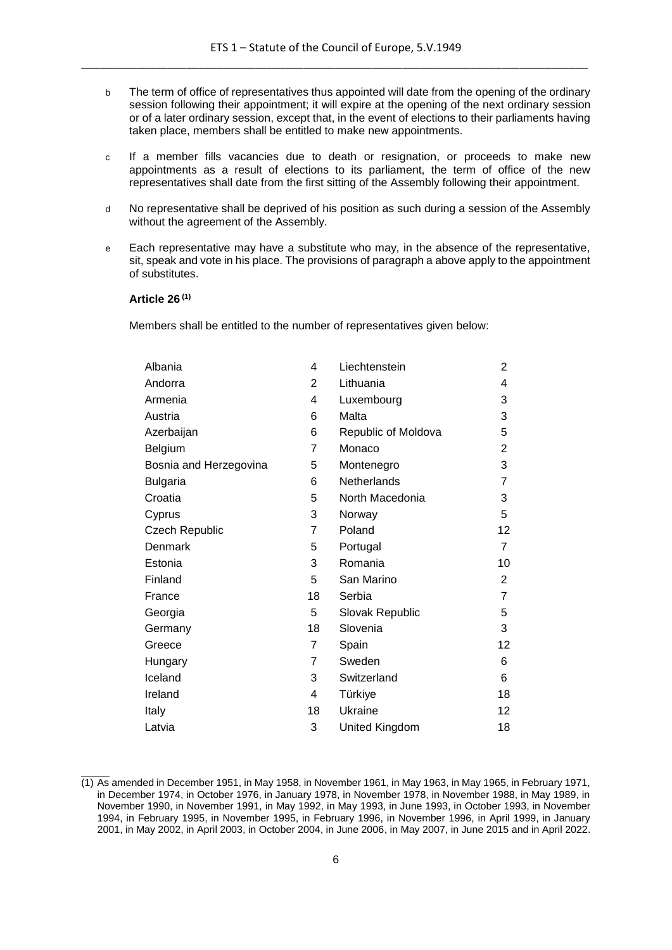- b The term of office of representatives thus appointed will date from the opening of the ordinary session following their appointment; it will expire at the opening of the next ordinary session or of a later ordinary session, except that, in the event of elections to their parliaments having taken place, members shall be entitled to make new appointments.
- c If a member fills vacancies due to death or resignation, or proceeds to make new appointments as a result of elections to its parliament, the term of office of the new representatives shall date from the first sitting of the Assembly following their appointment.
- d No representative shall be deprived of his position as such during a session of the Assembly without the agreement of the Assembly.
- e Each representative may have a substitute who may, in the absence of the representative, sit, speak and vote in his place. The provisions of paragraph a above apply to the appointment of substitutes.

#### **Article 26 (1)**

 $\overline{\phantom{a}}$ 

Members shall be entitled to the number of representatives given below:

| Albania                | 4              | Liechtenstein       | 2  |
|------------------------|----------------|---------------------|----|
| Andorra                | 2              | Lithuania           | 4  |
| Armenia                | 4              | Luxembourg          | 3  |
| Austria                | 6              | Malta               | 3  |
| Azerbaijan             | 6              | Republic of Moldova | 5  |
| Belgium                | $\overline{7}$ | Monaco              | 2  |
| Bosnia and Herzegovina | 5              | Montenegro          | 3  |
| <b>Bulgaria</b>        | 6              | <b>Netherlands</b>  | 7  |
| Croatia                | 5              | North Macedonia     | 3  |
| Cyprus                 | 3              | Norway              | 5  |
| <b>Czech Republic</b>  | 7              | Poland              | 12 |
| Denmark                | 5              | Portugal            | 7  |
| Estonia                | 3              | Romania             | 10 |
| Finland                | 5              | San Marino          | 2  |
| France                 | 18             | Serbia              | 7  |
| Georgia                | 5              | Slovak Republic     | 5  |
| Germany                | 18             | Slovenia            | 3  |
| Greece                 | 7              | Spain               | 12 |
| Hungary                | 7              | Sweden              | 6  |
| Iceland                | 3              | Switzerland         | 6  |
| Ireland                | 4              | Türkiye             | 18 |
| Italy                  | 18             | Ukraine             | 12 |
| Latvia                 | 3              | United Kingdom      | 18 |

<sup>(1)</sup> As amended in December 1951, in May 1958, in November 1961, in May 1963, in May 1965, in February 1971, in December 1974, in October 1976, in January 1978, in November 1978, in November 1988, in May 1989, in November 1990, in November 1991, in May 1992, in May 1993, in June 1993, in October 1993, in November 1994, in February 1995, in November 1995, in February 1996, in November 1996, in April 1999, in January 2001, in May 2002, in April 2003, in October 2004, in June 2006, in May 2007, in June 2015 and in April 2022.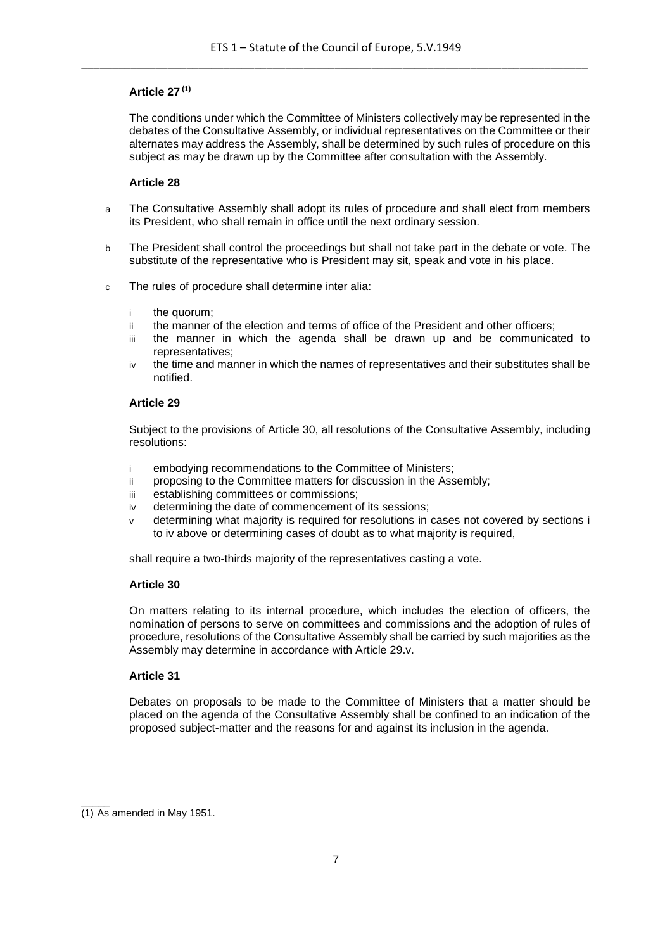# **Article 27 (1)**

The conditions under which the Committee of Ministers collectively may be represented in the debates of the Consultative Assembly, or individual representatives on the Committee or their alternates may address the Assembly, shall be determined by such rules of procedure on this subject as may be drawn up by the Committee after consultation with the Assembly.

# **Article 28**

- a The Consultative Assembly shall adopt its rules of procedure and shall elect from members its President, who shall remain in office until the next ordinary session.
- b The President shall control the proceedings but shall not take part in the debate or vote. The substitute of the representative who is President may sit, speak and vote in his place.
- c The rules of procedure shall determine inter alia:
	- i the quorum;
	- ii the manner of the election and terms of office of the President and other officers;
	- iii the manner in which the agenda shall be drawn up and be communicated to representatives;
	- iv the time and manner in which the names of representatives and their substitutes shall be notified.

# **Article 29**

Subject to the provisions of Article 30, all resolutions of the Consultative Assembly, including resolutions:

- i embodying recommendations to the Committee of Ministers;
- ii proposing to the Committee matters for discussion in the Assembly;
- iii establishing committees or commissions;
- iv determining the date of commencement of its sessions;
- v determining what majority is required for resolutions in cases not covered by sections i to iv above or determining cases of doubt as to what majority is required,

shall require a two-thirds majority of the representatives casting a vote.

# **Article 30**

On matters relating to its internal procedure, which includes the election of officers, the nomination of persons to serve on committees and commissions and the adoption of rules of procedure, resolutions of the Consultative Assembly shall be carried by such majorities as the Assembly may determine in accordance with Article 29.v.

### **Article 31**

Debates on proposals to be made to the Committee of Ministers that a matter should be placed on the agenda of the Consultative Assembly shall be confined to an indication of the proposed subject-matter and the reasons for and against its inclusion in the agenda.

 $\overline{\phantom{a}}$ (1) As amended in May 1951.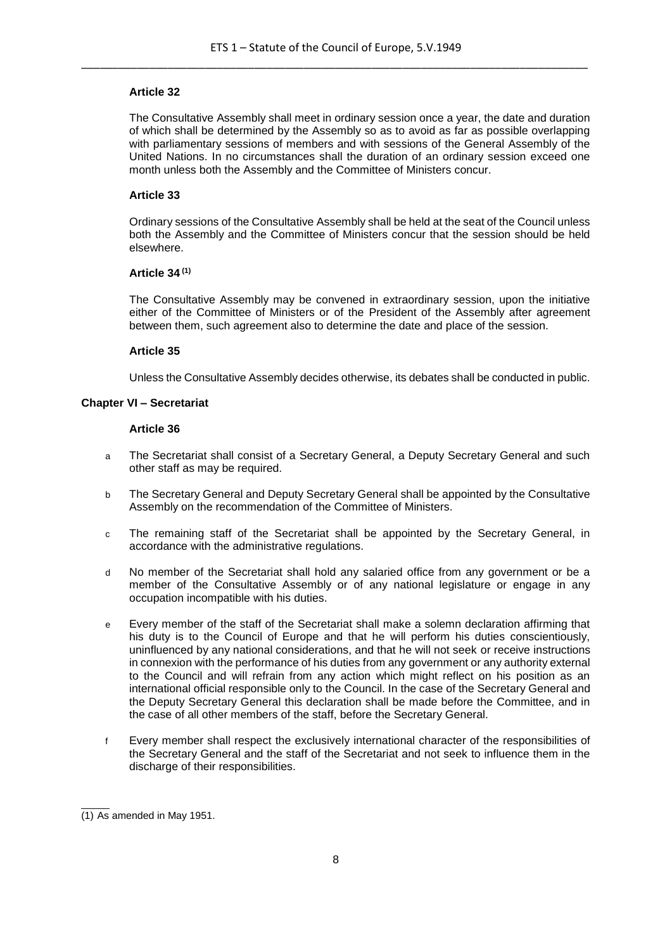The Consultative Assembly shall meet in ordinary session once a year, the date and duration of which shall be determined by the Assembly so as to avoid as far as possible overlapping with parliamentary sessions of members and with sessions of the General Assembly of the United Nations. In no circumstances shall the duration of an ordinary session exceed one month unless both the Assembly and the Committee of Ministers concur.

### **Article 33**

Ordinary sessions of the Consultative Assembly shall be held at the seat of the Council unless both the Assembly and the Committee of Ministers concur that the session should be held elsewhere.

# **Article 34 (1)**

The Consultative Assembly may be convened in extraordinary session, upon the initiative either of the Committee of Ministers or of the President of the Assembly after agreement between them, such agreement also to determine the date and place of the session.

# **Article 35**

Unless the Consultative Assembly decides otherwise, its debates shall be conducted in public.

# **Chapter VI – Secretariat**

# **Article 36**

- a The Secretariat shall consist of a Secretary General, a Deputy Secretary General and such other staff as may be required.
- b The Secretary General and Deputy Secretary General shall be appointed by the Consultative Assembly on the recommendation of the Committee of Ministers.
- c The remaining staff of the Secretariat shall be appointed by the Secretary General, in accordance with the administrative regulations.
- d No member of the Secretariat shall hold any salaried office from any government or be a member of the Consultative Assembly or of any national legislature or engage in any occupation incompatible with his duties.
- e Every member of the staff of the Secretariat shall make a solemn declaration affirming that his duty is to the Council of Europe and that he will perform his duties conscientiously, uninfluenced by any national considerations, and that he will not seek or receive instructions in connexion with the performance of his duties from any government or any authority external to the Council and will refrain from any action which might reflect on his position as an international official responsible only to the Council. In the case of the Secretary General and the Deputy Secretary General this declaration shall be made before the Committee, and in the case of all other members of the staff, before the Secretary General.
- f Every member shall respect the exclusively international character of the responsibilities of the Secretary General and the staff of the Secretariat and not seek to influence them in the discharge of their responsibilities.

 $\overline{\phantom{a}}$ 

<sup>(1)</sup> As amended in May 1951.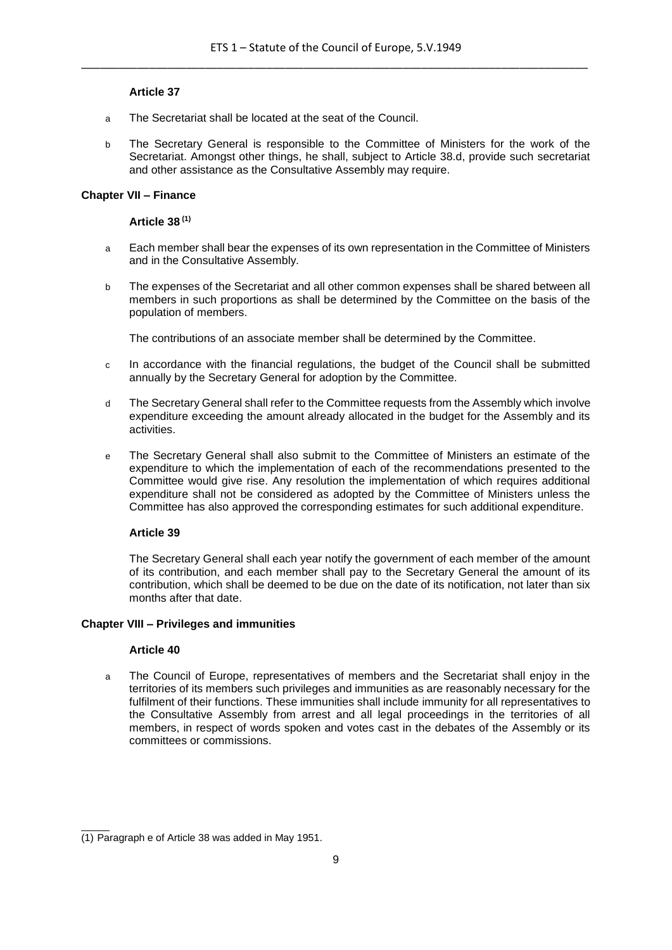- a The Secretariat shall be located at the seat of the Council.
- b The Secretary General is responsible to the Committee of Ministers for the work of the Secretariat. Amongst other things, he shall, subject to Article 38.d, provide such secretariat and other assistance as the Consultative Assembly may require.

# **Chapter VII – Finance**

### **Article 38 (1)**

- a Each member shall bear the expenses of its own representation in the Committee of Ministers and in the Consultative Assembly.
- b The expenses of the Secretariat and all other common expenses shall be shared between all members in such proportions as shall be determined by the Committee on the basis of the population of members.

The contributions of an associate member shall be determined by the Committee.

- c In accordance with the financial regulations, the budget of the Council shall be submitted annually by the Secretary General for adoption by the Committee.
- d The Secretary General shall refer to the Committee requests from the Assembly which involve expenditure exceeding the amount already allocated in the budget for the Assembly and its activities.
- e The Secretary General shall also submit to the Committee of Ministers an estimate of the expenditure to which the implementation of each of the recommendations presented to the Committee would give rise. Any resolution the implementation of which requires additional expenditure shall not be considered as adopted by the Committee of Ministers unless the Committee has also approved the corresponding estimates for such additional expenditure.

### **Article 39**

The Secretary General shall each year notify the government of each member of the amount of its contribution, and each member shall pay to the Secretary General the amount of its contribution, which shall be deemed to be due on the date of its notification, not later than six months after that date.

### **Chapter VIII – Privileges and immunities**

# **Article 40**

a The Council of Europe, representatives of members and the Secretariat shall enjoy in the territories of its members such privileges and immunities as are reasonably necessary for the fulfilment of their functions. These immunities shall include immunity for all representatives to the Consultative Assembly from arrest and all legal proceedings in the territories of all members, in respect of words spoken and votes cast in the debates of the Assembly or its committees or commissions.

 $\overline{\phantom{a}}$ (1) Paragraph e of Article 38 was added in May 1951.